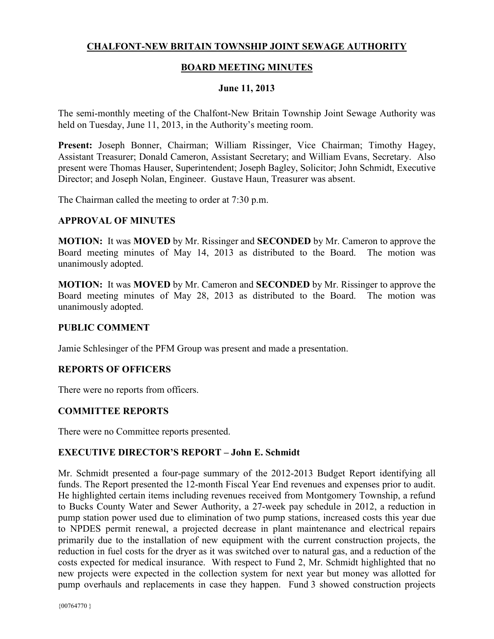## **CHALFONT-NEW BRITAIN TOWNSHIP JOINT SEWAGE AUTHORITY**

### **BOARD MEETING MINUTES**

#### **June 11, 2013**

The semi-monthly meeting of the Chalfont-New Britain Township Joint Sewage Authority was held on Tuesday, June 11, 2013, in the Authority's meeting room.

**Present:** Joseph Bonner, Chairman; William Rissinger, Vice Chairman; Timothy Hagey, Assistant Treasurer; Donald Cameron, Assistant Secretary; and William Evans, Secretary. Also present were Thomas Hauser, Superintendent; Joseph Bagley, Solicitor; John Schmidt, Executive Director; and Joseph Nolan, Engineer. Gustave Haun, Treasurer was absent.

The Chairman called the meeting to order at 7:30 p.m.

#### **APPROVAL OF MINUTES**

**MOTION:** It was **MOVED** by Mr. Rissinger and **SECONDED** by Mr. Cameron to approve the Board meeting minutes of May 14, 2013 as distributed to the Board. The motion was unanimously adopted.

**MOTION:** It was **MOVED** by Mr. Cameron and **SECONDED** by Mr. Rissinger to approve the Board meeting minutes of May 28, 2013 as distributed to the Board. The motion was unanimously adopted.

#### **PUBLIC COMMENT**

Jamie Schlesinger of the PFM Group was present and made a presentation.

#### **REPORTS OF OFFICERS**

There were no reports from officers.

#### **COMMITTEE REPORTS**

There were no Committee reports presented.

#### **EXECUTIVE DIRECTOR'S REPORT – John E. Schmidt**

Mr. Schmidt presented a four-page summary of the 2012-2013 Budget Report identifying all funds. The Report presented the 12-month Fiscal Year End revenues and expenses prior to audit. He highlighted certain items including revenues received from Montgomery Township, a refund to Bucks County Water and Sewer Authority, a 27-week pay schedule in 2012, a reduction in pump station power used due to elimination of two pump stations, increased costs this year due to NPDES permit renewal, a projected decrease in plant maintenance and electrical repairs primarily due to the installation of new equipment with the current construction projects, the reduction in fuel costs for the dryer as it was switched over to natural gas, and a reduction of the costs expected for medical insurance. With respect to Fund 2, Mr. Schmidt highlighted that no new projects were expected in the collection system for next year but money was allotted for pump overhauls and replacements in case they happen. Fund 3 showed construction projects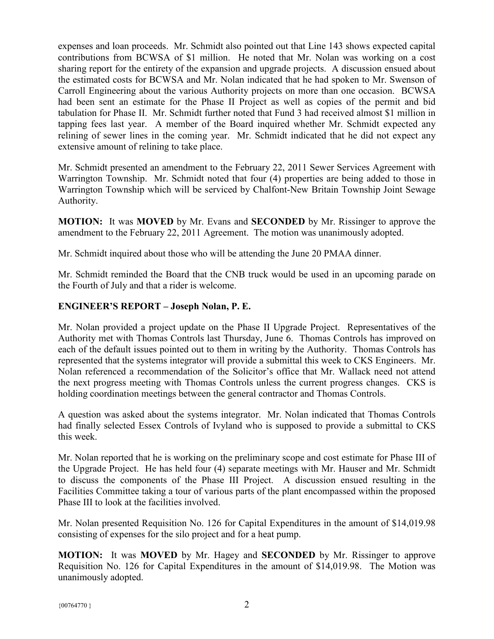expenses and loan proceeds. Mr. Schmidt also pointed out that Line 143 shows expected capital contributions from BCWSA of \$1 million. He noted that Mr. Nolan was working on a cost sharing report for the entirety of the expansion and upgrade projects. A discussion ensued about the estimated costs for BCWSA and Mr. Nolan indicated that he had spoken to Mr. Swenson of Carroll Engineering about the various Authority projects on more than one occasion. BCWSA had been sent an estimate for the Phase II Project as well as copies of the permit and bid tabulation for Phase II. Mr. Schmidt further noted that Fund 3 had received almost \$1 million in tapping fees last year. A member of the Board inquired whether Mr. Schmidt expected any relining of sewer lines in the coming year. Mr. Schmidt indicated that he did not expect any extensive amount of relining to take place.

Mr. Schmidt presented an amendment to the February 22, 2011 Sewer Services Agreement with Warrington Township. Mr. Schmidt noted that four (4) properties are being added to those in Warrington Township which will be serviced by Chalfont-New Britain Township Joint Sewage Authority.

**MOTION:** It was **MOVED** by Mr. Evans and **SECONDED** by Mr. Rissinger to approve the amendment to the February 22, 2011 Agreement. The motion was unanimously adopted.

Mr. Schmidt inquired about those who will be attending the June 20 PMAA dinner.

Mr. Schmidt reminded the Board that the CNB truck would be used in an upcoming parade on the Fourth of July and that a rider is welcome.

# **ENGINEER'S REPORT – Joseph Nolan, P. E.**

Mr. Nolan provided a project update on the Phase II Upgrade Project. Representatives of the Authority met with Thomas Controls last Thursday, June 6. Thomas Controls has improved on each of the default issues pointed out to them in writing by the Authority. Thomas Controls has represented that the systems integrator will provide a submittal this week to CKS Engineers. Mr. Nolan referenced a recommendation of the Solicitor's office that Mr. Wallack need not attend the next progress meeting with Thomas Controls unless the current progress changes. CKS is holding coordination meetings between the general contractor and Thomas Controls.

A question was asked about the systems integrator. Mr. Nolan indicated that Thomas Controls had finally selected Essex Controls of Ivyland who is supposed to provide a submittal to CKS this week.

Mr. Nolan reported that he is working on the preliminary scope and cost estimate for Phase III of the Upgrade Project. He has held four (4) separate meetings with Mr. Hauser and Mr. Schmidt to discuss the components of the Phase III Project. A discussion ensued resulting in the Facilities Committee taking a tour of various parts of the plant encompassed within the proposed Phase III to look at the facilities involved.

Mr. Nolan presented Requisition No. 126 for Capital Expenditures in the amount of \$14,019.98 consisting of expenses for the silo project and for a heat pump.

**MOTION:** It was **MOVED** by Mr. Hagey and **SECONDED** by Mr. Rissinger to approve Requisition No. 126 for Capital Expenditures in the amount of \$14,019.98. The Motion was unanimously adopted.